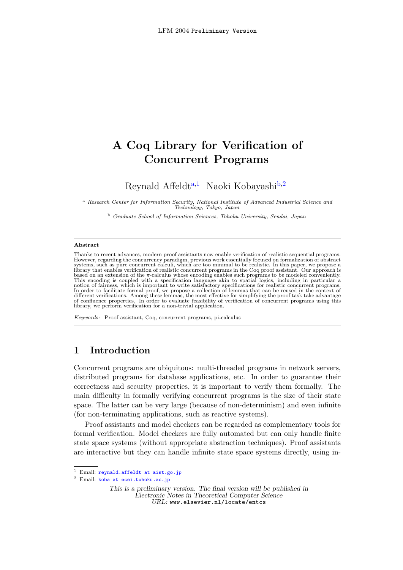# A Coq Library for Verification of Concurrent Programs

<span id="page-0-0"></span>Reyn[a](#page-0-0)ld Affeldt<sup>a,[1](#page-0-1)</sup> Naoki Ko[b](#page-0-2)ayashi<sup>b,[2](#page-0-1)</sup>

<span id="page-0-2"></span><span id="page-0-1"></span><sup>a</sup> Research Center for Information Security, National Institute of Advanced Industrial Science and Technology, Tokyo, Japan

<sup>b</sup> Graduate School of Information Sciences, Tohoku University, Sendai, Japan

#### Abstract

Thanks to recent advances, modern proof assistants now enable verification of realistic sequential programs. However, regarding the concurrency paradigm, previous work essentially focused on formalization of abstract systems, such as pure concurrent calculi, which are too minimal to be realistic. In this paper, we propose a<br>library that enables verification of realistic concurrent programs in the Coq proof assistant. Our approach is<br>b different verifications. Among these lemmas, the most effective for simplifying the proof task take advantage of confluence properties. In order to evaluate feasibility of verification of concurrent programs using this library, we perform verification for a non-trivial application.

Keywords: Proof assistant, Coq, concurrent programs, pi-calculus

## 1 Introduction

Concurrent programs are ubiquitous: multi-threaded programs in network servers, distributed programs for database applications, etc. In order to guarantee their correctness and security properties, it is important to verify them formally. The main difficulty in formally verifying concurrent programs is the size of their state space. The latter can be very large (because of non-determinism) and even infinite (for non-terminating applications, such as reactive systems).

Proof assistants and model checkers can be regarded as complementary tools for formal verification. Model checkers are fully automated but can only handle finite state space systems (without appropriate abstraction techniques). Proof assistants are interactive but they can handle infinite state space systems directly, using in-

<sup>&</sup>lt;sup>1</sup> Email: [reynald.affeldt at aist.go.jp](mailto:reynald.affeldt at aist.go.jp)

<sup>2</sup> Email: [koba at ecei.tohoku.ac.jp](mailto:koba at ecei.tohoku.ac.jp)

This is a preliminary version. The final version will be published in Electronic Notes in Theoretical Computer Science URL: www.elsevier.nl/locate/entcs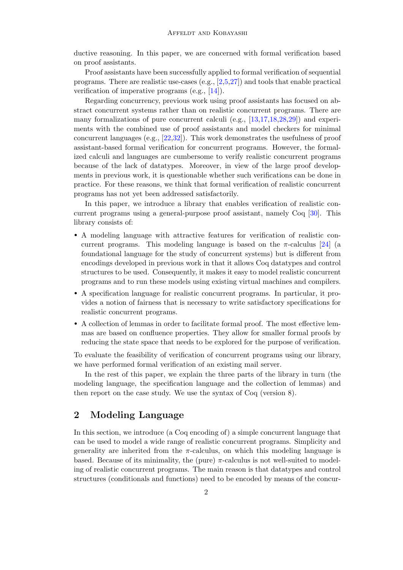ductive reasoning. In this paper, we are concerned with formal verification based on proof assistants.

Proof assistants have been successfully applied to formal verification of sequential programs. There are realistic use-cases (e.g., [\[2,](#page-14-0)[5](#page-14-1)[,27\]](#page-15-0)) and tools that enable practical verification of imperative programs (e.g., [\[14\]](#page-14-2)).

Regarding concurrency, previous work using proof assistants has focused on abstract concurrent systems rather than on realistic concurrent programs. There are many formalizations of pure concurrent calculi (e.g., [\[13](#page-14-3)[,17](#page-14-4)[,18](#page-14-5)[,28](#page-15-1)[,29\]](#page-15-2)) and experiments with the combined use of proof assistants and model checkers for minimal concurrent languages (e.g., [\[22,](#page-14-6)[32\]](#page-15-3)). This work demonstrates the usefulness of proof assistant-based formal verification for concurrent programs. However, the formalized calculi and languages are cumbersome to verify realistic concurrent programs because of the lack of datatypes. Moreover, in view of the large proof developments in previous work, it is questionable whether such verifications can be done in practice. For these reasons, we think that formal verification of realistic concurrent programs has not yet been addressed satisfactorily.

In this paper, we introduce a library that enables verification of realistic concurrent programs using a general-purpose proof assistant, namely Coq [\[30\]](#page-15-4). This library consists of:

- A modeling language with attractive features for verification of realistic concurrent programs. This modeling language is based on the  $\pi$ -calculus [\[24\]](#page-14-7) (a foundational language for the study of concurrent systems) but is different from encodings developed in previous work in that it allows Coq datatypes and control structures to be used. Consequently, it makes it easy to model realistic concurrent programs and to run these models using existing virtual machines and compilers.
- A specification language for realistic concurrent programs. In particular, it provides a notion of fairness that is necessary to write satisfactory specifications for realistic concurrent programs.
- A collection of lemmas in order to facilitate formal proof. The most effective lemmas are based on confluence properties. They allow for smaller formal proofs by reducing the state space that needs to be explored for the purpose of verification.

To evaluate the feasibility of verification of concurrent programs using our library, we have performed formal verification of an existing mail server.

In the rest of this paper, we explain the three parts of the library in turn (the modeling language, the specification language and the collection of lemmas) and then report on the case study. We use the syntax of Coq (version 8).

## <span id="page-1-0"></span>2 Modeling Language

In this section, we introduce (a Coq encoding of) a simple concurrent language that can be used to model a wide range of realistic concurrent programs. Simplicity and generality are inherited from the  $\pi$ -calculus, on which this modeling language is based. Because of its minimality, the (pure)  $\pi$ -calculus is not well-suited to modeling of realistic concurrent programs. The main reason is that datatypes and control structures (conditionals and functions) need to be encoded by means of the concur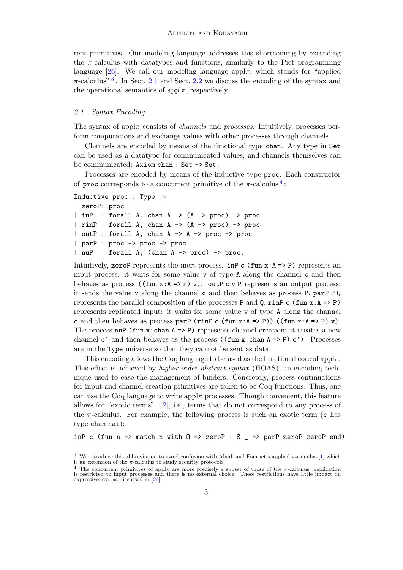rent primitives. Our modeling language addresses this shortcoming by extending the  $\pi$ -calculus with datatypes and functions, similarly to the Pict programming language [\[26\]](#page-15-5). We call our modeling language appl $\pi$ , which stands for "applied"  $\pi$ -calculus<sup>"[3](#page-2-0)</sup>. In Sect. [2.1](#page-2-1) and Sect. [2.2](#page-4-0) we discuss the encoding of the syntax and the operational semantics of appl $\pi$ , respectively.

#### <span id="page-2-1"></span>2.1 Syntax Encoding

The syntax of appl $\pi$  consists of *channels* and *processes*. Intuitively, processes perform computations and exchange values with other processes through channels.

Channels are encoded by means of the functional type chan. Any type in Set can be used as a datatype for communicated values, and channels themselves can be communicated: Axiom chan : Set -> Set.

Processes are encoded by means of the inductive type proc. Each constructor of proc corresponds to a concurrent primitive of the  $\pi$ -calculus<sup>[4](#page-2-2)</sup>:

```
Inductive proc : Type :=
  zeroP: proc
| inP : forall A, chan A \rightarrow (A \rightarrow proc) \rightarrow proc
| rinP : forall A, chan A \rightarrow (A \rightarrow proc) \rightarrow proc
| outP : forall A, chan A -> A -> proc -> proc
| parP : proc -> proc -> proc
| nuP : forall A, (chan A -> proc) -> proc.
```
Intuitively, zeroP represents the inert process.  $\text{inP } c$  (fun x: A => P) represents an input process: it waits for some value v of type A along the channel c and then behaves as process ((fun x:A => P) v). outP c v P represents an output process: it sends the value v along the channel c and then behaves as process P. parP P Q represents the parallel composition of the processes P and Q.  $\text{rinP}$  c (fun  $x:A \Rightarrow P$ ) represents replicated input: it waits for some value v of type A along the channel c and then behaves as process parP (rinP c (fun  $x:A \Rightarrow P$ )) ((fun  $x:A \Rightarrow P$ ) v). The process nuP (fun x:chan  $A \Rightarrow P$ ) represents channel creation: it creates a new channel c' and then behaves as the process ((fun x:chan  $A \Rightarrow P$ ) c'). Processes are in the Type universe so that they cannot be sent as data.

This encoding allows the Coq language to be used as the functional core of appl $\pi$ . This effect is achieved by higher-order abstract syntax (HOAS), an encoding technique used to ease the management of binders. Concretely, process continuations for input and channel creation primitives are taken to be Coq functions. Thus, one can use the Coq language to write appl $\pi$  processes. Though convenient, this feature allows for "exotic terms" [\[12\]](#page-14-8), i.e., terms that do not correspond to any process of the  $\pi$ -calculus. For example, the following process is such an exotic term (c has type chan nat):

inP c (fun n => match n with  $0 =$ > zeroP | S \_ => parP zeroP zeroP end)

<span id="page-2-0"></span><sup>&</sup>lt;sup>3</sup> We introduce this abbreviation to avoid confusion with Abadi and Fournet's applied  $\pi$ -calculus [\[1\]](#page-13-0) which is an extension of the  $\pi$ -calculus to study security protocols.

<span id="page-2-2"></span><sup>&</sup>lt;sup>4</sup> The concurrent primitives of appl $\pi$  are more precisely a subset of those of the  $\pi$ -calculus: replication is restricted to input processes and there is no external choice. These restrictions have little impact on expressiveness, as discussed in [\[26\]](#page-15-5).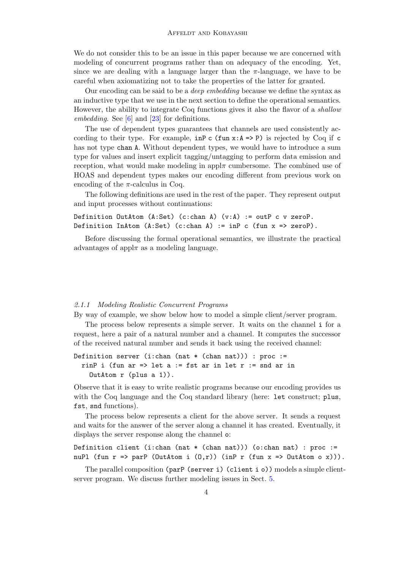We do not consider this to be an issue in this paper because we are concerned with modeling of concurrent programs rather than on adequacy of the encoding. Yet, since we are dealing with a language larger than the  $\pi$ -language, we have to be careful when axiomatizing not to take the properties of the latter for granted.

Our encoding can be said to be a *deep embedding* because we define the syntax as an inductive type that we use in the next section to define the operational semantics. However, the ability to integrate Coq functions gives it also the flavor of a shallow embedding. See  $[6]$  and  $[23]$  for definitions.

The use of dependent types guarantees that channels are used consistently according to their type. For example,  $i$ nP c (fun x:A => P) is rejected by Coq if c has not type chan A. Without dependent types, we would have to introduce a sum type for values and insert explicit tagging/untagging to perform data emission and reception, what would make modeling in appl $\pi$  cumbersome. The combined use of HOAS and dependent types makes our encoding different from previous work on encoding of the  $\pi$ -calculus in Coq.

The following definitions are used in the rest of the paper. They represent output and input processes without continuations:

Definition OutAtom  $(A:Set)$  (c:chan A)  $(y:A) := outP$  c v zeroP. Definition InAtom  $(A:Set)$  (c:chan A) := inP c (fun x => zeroP).

Before discussing the formal operational semantics, we illustrate the practical advantages of appl $\pi$  as a modeling language.

#### 2.1.1 Modeling Realistic Concurrent Programs

By way of example, we show below how to model a simple client/server program.

The process below represents a simple server. It waits on the channel i for a request, here a pair of a natural number and a channel. It computes the successor of the received natural number and sends it back using the received channel:

```
Definition server (i:chan (nat * (chan nat))) : proc :=
 rinP i (fun ar => let a := fst ar in let r := snd ar in
   OutAtom r (plus a 1)).
```
Observe that it is easy to write realistic programs because our encoding provides us with the Coq language and the Coq standard library (here: let construct; plus, fst, snd functions).

The process below represents a client for the above server. It sends a request and waits for the answer of the server along a channel it has created. Eventually, it displays the server response along the channel o:

Definition client (i:chan (nat \* (chan nat))) (o:chan nat) : proc := nuPl (fun  $r \Rightarrow$  parP (OutAtom i  $(0,r)$ ) (inP r (fun  $x \Rightarrow$  OutAtom o x))).

The parallel composition (parP (server i) (client i o)) models a simple clientserver program. We discuss further modeling issues in Sect. [5.](#page-10-0)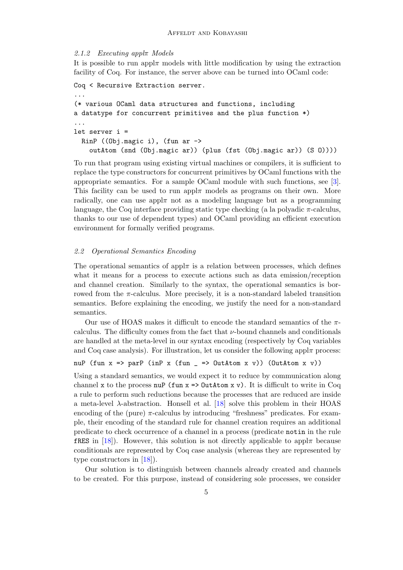#### 2.1.2 Executing applπ Models

It is possible to run appl $\pi$  models with little modification by using the extraction facility of Coq. For instance, the server above can be turned into OCaml code:

```
Coq < Recursive Extraction server.
```

```
...
(* various OCaml data structures and functions, including
a datatype for concurrent primitives and the plus function *)
...
let server i =
 RinP ((Obj.magic i), (fun ar ->
    outAtom (snd (Obj.magic ar)) (plus (fst (Obj.magic ar)) (S O))))
```
To run that program using existing virtual machines or compilers, it is sufficient to replace the type constructors for concurrent primitives by OCaml functions with the appropriate semantics. For a sample OCaml module with such functions, see [\[3\]](#page-14-11). This facility can be used to run appl $\pi$  models as programs on their own. More radically, one can use appl $\pi$  not as a modeling language but as a programming language, the Coq interface providing static type checking (a la polyadic  $\pi$ -calculus, thanks to our use of dependent types) and OCaml providing an efficient execution environment for formally verified programs.

#### <span id="page-4-0"></span>2.2 Operational Semantics Encoding

The operational semantics of appl $\pi$  is a relation between processes, which defines what it means for a process to execute actions such as data emission/reception and channel creation. Similarly to the syntax, the operational semantics is borrowed from the  $\pi$ -calculus. More precisely, it is a non-standard labeled transition semantics. Before explaining the encoding, we justify the need for a non-standard semantics.

Our use of HOAS makes it difficult to encode the standard semantics of the  $\pi$ calculus. The difficulty comes from the fact that  $\nu$ -bound channels and conditionals are handled at the meta-level in our syntax encoding (respectively by Coq variables and Coq case analysis). For illustration, let us consider the following appl $\pi$  process:

```
nuP (fun x \Rightarrow parP (inP x (fun \equiv > 0utAtom x v)) (0utAtom x v))
```
Using a standard semantics, we would expect it to reduce by communication along channel x to the process nup (fun  $x \neq 0$ utAtom x v). It is difficult to write in Coq a rule to perform such reductions because the processes that are reduced are inside a meta-level  $\lambda$ -abstraction. Honsell et al. [\[18\]](#page-14-5) solve this problem in their HOAS encoding of the (pure)  $\pi$ -calculus by introducing "freshness" predicates. For example, their encoding of the standard rule for channel creation requires an additional predicate to check occurrence of a channel in a process (predicate notin in the rule **fRES** in [\[18\]](#page-14-5)). However, this solution is not directly applicable to appl $\pi$  because conditionals are represented by Coq case analysis (whereas they are represented by type constructors in [\[18\]](#page-14-5)).

Our solution is to distinguish between channels already created and channels to be created. For this purpose, instead of considering sole processes, we consider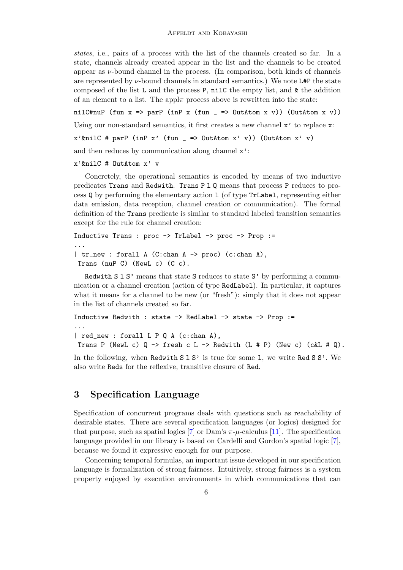states, i.e., pairs of a process with the list of the channels created so far. In a state, channels already created appear in the list and the channels to be created appear as  $\nu$ -bound channel in the process. (In comparison, both kinds of channels are represented by  $\nu$ -bound channels in standard semantics.) We note L#P the state composed of the list L and the process P, nilC the empty list, and & the addition of an element to a list. The appl $\pi$  process above is rewritten into the state:

nilC#nuP (fun  $x \Rightarrow$  parP (inP  $x$  (fun  $=$  > OutAtom  $x$  v)) (OutAtom  $x$  v)) Using our non-standard semantics, it first creates a new channel  $x'$  to replace x:  $x'$ &nilC # parP (inP  $x'$  (fun \_ => OutAtom  $x'$  v)) (OutAtom  $x'$  v)

and then reduces by communication along channel x':

#### x'&nilC # OutAtom x' v

Concretely, the operational semantics is encoded by means of two inductive predicates Trans and Redwith. Trans P l Q means that process P reduces to process Q by performing the elementary action l (of type TrLabel, representing either data emission, data reception, channel creation or communication). The formal definition of the Trans predicate is similar to standard labeled transition semantics except for the rule for channel creation:

```
Inductive Trans : proc -> TrLabel -> proc -> Prop :=
...
| tr_new : forall A (C:chan A -> proc) (c:chan A),
Trans (nuP C) (NewL c) (C c).
```
Redwith  $S_1 S'$  means that state S reduces to state S' by performing a communication or a channel creation (action of type RedLabel). In particular, it captures what it means for a channel to be new (or "fresh"): simply that it does not appear in the list of channels created so far.

```
Inductive Redwith : state -> RedLabel -> state -> Prop :=
...
| red_new : forall L P Q A (c:chan A),
Trans P (NewL c) Q \rightarrow fresh c L -> Redwith (L # P) (New c) (c&L # Q).
```
In the following, when Redwith  $S_1 S'$  is true for some 1, we write Red  $S_2$ . We also write Reds for the reflexive, transitive closure of Red.

### <span id="page-5-0"></span>3 Specification Language

Specification of concurrent programs deals with questions such as reachability of desirable states. There are several specification languages (or logics) designed for that purpose, such as spatial logics [\[7\]](#page-14-12) or Dam's  $\pi$ - $\mu$ -calculus [\[11\]](#page-14-13). The specification language provided in our library is based on Cardelli and Gordon's spatial logic [\[7\]](#page-14-12), because we found it expressive enough for our purpose.

Concerning temporal formulas, an important issue developed in our specification language is formalization of strong fairness. Intuitively, strong fairness is a system property enjoyed by execution environments in which communications that can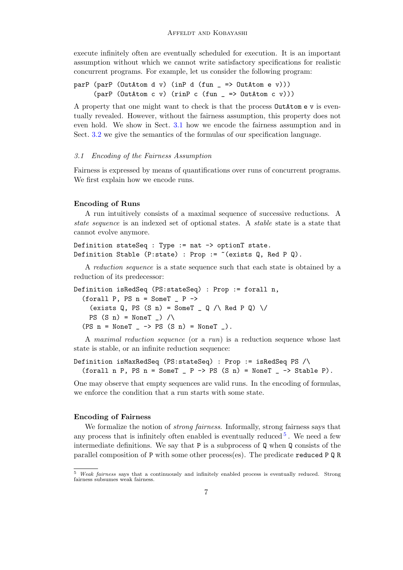execute infinitely often are eventually scheduled for execution. It is an important assumption without which we cannot write satisfactory specifications for realistic concurrent programs. For example, let us consider the following program:

```
parP (parP (OutAtom d v) (inP d (fun = \geq OutAtom e v)))
       \frac{\partial u}{\partial x} (OutAtom c v) \frac{\partial v}{\partial y} (fun _ => OutAtom c v)))
```
A property that one might want to check is that the process OutAtom e v is eventually revealed. However, without the fairness assumption, this property does not even hold. We show in Sect. [3.1](#page-6-0) how we encode the fairness assumption and in Sect. [3.2](#page-7-0) we give the semantics of the formulas of our specification language.

#### <span id="page-6-0"></span>3.1 Encoding of the Fairness Assumption

Fairness is expressed by means of quantifications over runs of concurrent programs. We first explain how we encode runs.

#### Encoding of Runs

A run intuitively consists of a maximal sequence of successive reductions. A state sequence is an indexed set of optional states. A stable state is a state that cannot evolve anymore.

```
Definition stateSeq : Type := nat -> optionT state.
Definition Stable (P:state) : Prop := \tilde{ } (exists Q, Red P Q).
```
A reduction sequence is a state sequence such that each state is obtained by a reduction of its predecessor:

Definition isRedSeq (PS:stateSeq) : Prop := forall n, (forall P, PS  $n = SomeT - P \rightarrow$ (exists Q, PS  $(S \nvert) = SomeT \nvert Q / \triangleleft P Q$ )  $\setminus$ PS  $(S \n n) = \text{NoneT}$   $\bigwedge$  $(PS n = NoneT - > PS (S n) = NoneT$ .

A maximal reduction sequence (or a run) is a reduction sequence whose last state is stable, or an infinite reduction sequence:

```
Definition isMaxRedSeq (PS:stateSeq) : Prop := isRedSeq PS /\
  (forall n P, PS n = SomeT - P \rightarrow PS (S n) = NoneT - S -> Stable P).
```
One may observe that empty sequences are valid runs. In the encoding of formulas, we enforce the condition that a run starts with some state.

#### Encoding of Fairness

We formalize the notion of *strong fairness*. Informally, strong fairness says that any process that is infinitely often enabled is eventually reduced  $5$ . We need a few intermediate definitions. We say that P is a subprocess of Q when Q consists of the parallel composition of P with some other process(es). The predicate reduced P Q R

<span id="page-6-1"></span><sup>5</sup> Weak fairness says that a continuously and infinitely enabled process is eventually reduced. Strong fairness subsumes weak fairness.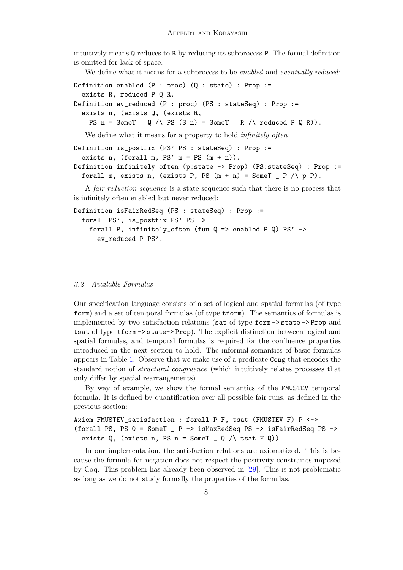intuitively means Q reduces to R by reducing its subprocess P. The formal definition is omitted for lack of space.

We define what it means for a subprocess to be *enabled* and *eventually reduced*:

```
Definition enabled (P : proc) (Q : state) : Prop :=exists R, reduced P Q R.
Definition ev_reduced (P : proc) (PS : stateSeq) : Prop :=
  exists n, (exists Q, (exists R,
    PS n = SomeT \_ Q / \neg P S (S n) = SomeT \_ R / \neg C (S n)
```
We define what it means for a property to hold *infinitely often*:

```
Definition is_postfix (PS' PS : stateSeq) : Prop :=
  exists n, (for all m, PS' m = PS (m + n)).Definition infinitely_often (p:state -> Prop) (PS:stateSeq) : Prop :=
  forall m, exists n, (exists P, PS (m + n) = SomeT _P / \ p P).
```
A fair reduction sequence is a state sequence such that there is no process that is infinitely often enabled but never reduced:

```
Definition isFairRedSeq (PS : stateSeq) : Prop :=
  forall PS', is_postfix PS' PS ->
    forall P, infinitely_often (fun Q \Rightarrow enabled P Q) PS' ->
      ev_reduced P PS'.
```
#### <span id="page-7-0"></span>3.2 Available Formulas

Our specification language consists of a set of logical and spatial formulas (of type form) and a set of temporal formulas (of type tform). The semantics of formulas is implemented by two satisfaction relations (sat of type form -> state -> Prop and tsat of type tform -> state-> Prop). The explicit distinction between logical and spatial formulas, and temporal formulas is required for the confluence properties introduced in the next section to hold. The informal semantics of basic formulas appears in Table [1.](#page-8-0) Observe that we make use of a predicate Cong that encodes the standard notion of structural congruence (which intuitively relates processes that only differ by spatial rearrangements).

By way of example, we show the formal semantics of the FMUSTEV temporal formula. It is defined by quantification over all possible fair runs, as defined in the previous section:

Axiom FMUSTEV\_satisfaction : forall P F, tsat (FMUSTEV F) P <-> (forall PS, PS 0 = SomeT \_ P -> isMaxRedSeq PS -> isFairRedSeq PS -> exists  $Q$ , (exists n, PS n = SomeT  $Q / \$  tsat F  $Q$ )).

In our implementation, the satisfaction relations are axiomatized. This is because the formula for negation does not respect the positivity constraints imposed by Coq. This problem has already been observed in [\[29\]](#page-15-2). This is not problematic as long as we do not study formally the properties of the formulas.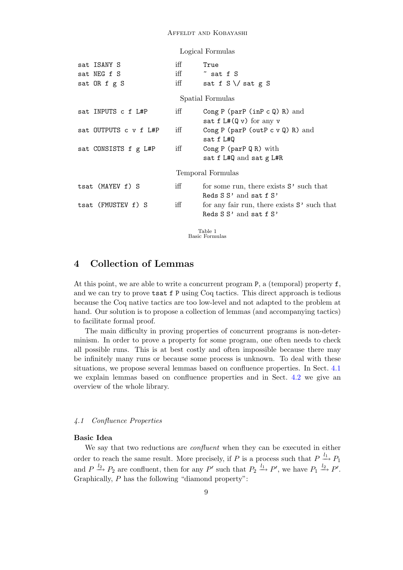#### Affeldt and Kobayashi

Logical Formulas

|                   | sat ISANY S<br>sat NEG f S | iff<br>iff | True<br>$\tilde{\phantom{a}}$ sat f S                                     |
|-------------------|----------------------------|------------|---------------------------------------------------------------------------|
|                   | sat OR f g S               | iff        | sat f $S \setminus S$ sat g S                                             |
| Spatial Formulas  |                            |            |                                                                           |
|                   | sat INPUTS c f L#P         | iff        | Cong P (parP (inP c Q) R) and<br>sat f $L#(Q v)$ for any v                |
|                   | sat OUTPUTS c v f L#P      | iff        | Cong P (parP (outP c $v$ Q) R) and<br>sat f L#Q                           |
|                   | sat CONSISTS f g L#P       | iff        | Cong $P$ (par $P$ Q R) with<br>sat f L#Q and sat g L#R                    |
| Temporal Formulas |                            |            |                                                                           |
|                   | tsat (MAYEV f) S           | iff        | for some run, there exists $S'$ such that<br>Reds S S' and sat f S'       |
|                   | tsat (FMUSTEV f) S         | iff        | for any fair run, there exists S' such that<br>Reds $S S'$ and sat $f S'$ |
|                   |                            |            | Table 1<br>Basic Formulas                                                 |

## <span id="page-8-0"></span>4 Collection of Lemmas

At this point, we are able to write a concurrent program P, a (temporal) property f, and we can try to prove tsat f P using Coq tactics. This direct approach is tedious because the Coq native tactics are too low-level and not adapted to the problem at hand. Our solution is to propose a collection of lemmas (and accompanying tactics) to facilitate formal proof.

The main difficulty in proving properties of concurrent programs is non-determinism. In order to prove a property for some program, one often needs to check all possible runs. This is at best costly and often impossible because there may be infinitely many runs or because some process is unknown. To deal with these situations, we propose several lemmas based on confluence properties. In Sect. [4.1](#page-8-1) we explain lemmas based on confluence properties and in Sect. [4.2](#page-10-1) we give an overview of the whole library.

#### <span id="page-8-1"></span>4.1 Confluence Properties

#### Basic Idea

We say that two reductions are *confluent* when they can be executed in either order to reach the same result. More precisely, if P is a process such that  $P \stackrel{l_1}{\longrightarrow} P_1$ and  $P \xrightarrow{l_2} P_2$  are confluent, then for any P' such that  $P_2 \xrightarrow{l_1} P'$ , we have  $P_1 \xrightarrow{l_2} P'$ . Graphically, P has the following "diamond property":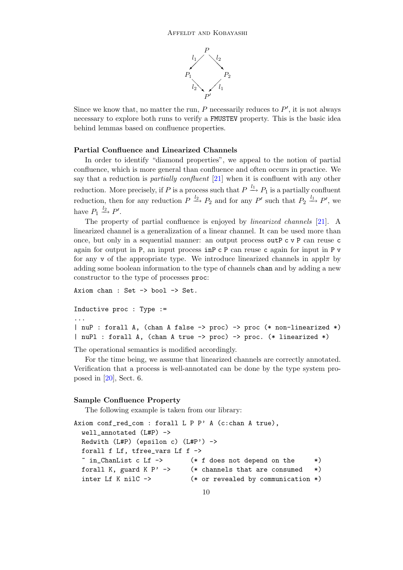

Since we know that, no matter the run,  $P$  necessarily reduces to  $P'$ , it is not always necessary to explore both runs to verify a FMUSTEV property. This is the basic idea behind lemmas based on confluence properties.

#### Partial Confluence and Linearized Channels

In order to identify "diamond properties", we appeal to the notion of partial confluence, which is more general than confluence and often occurs in practice. We say that a reduction is *partially confluent* [\[21\]](#page-14-14) when it is confluent with any other reduction. More precisely, if P is a process such that  $P \stackrel{l_1}{\longrightarrow} P_1$  is a partially confluent reduction, then for any reduction  $P \stackrel{l_2}{\longrightarrow} P_2$  and for any P' such that  $P_2 \stackrel{l_1}{\longrightarrow} P'$ , we have  $P_1 \stackrel{l_2}{\longrightarrow} P'$ .

The property of partial confluence is enjoyed by linearized channels [\[21\]](#page-14-14). A linearized channel is a generalization of a linear channel. It can be used more than once, but only in a sequential manner: an output process outP c v P can reuse c again for output in P, an input process  $\text{inP}$  c P can reuse c again for input in P v for any v of the appropriate type. We introduce linearized channels in appl $\pi$  by adding some boolean information to the type of channels chan and by adding a new constructor to the type of processes proc:

```
Axiom chan : Set -> bool -> Set.
Inductive proc : Type :=
...
| nuP : forall A, (chan A false -> proc) -> proc (* non-linearized *)
| nuPl : forall A, (chan A true -> proc) -> proc. (* linearized *)
```
The operational semantics is modified accordingly.

For the time being, we assume that linearized channels are correctly annotated. Verification that a process is well-annotated can be done by the type system proposed in  $[20]$ , Sect. 6.

#### Sample Confluence Property

The following example is taken from our library:

Axiom conf\_red\_com : forall L P P' A (c:chan A true), well\_annotated (L#P) -> Redwith  $(LHP)$  (epsilon c)  $(LHP')$  -> forall f Lf, tfree\_vars Lf f ->  $\tilde{m}$  in\_ChanList c Lf ->  $(*)$  (\* f does not depend on the \*) forall K, guard K P'  $\rightarrow$  (\* channels that are consumed \*) inter Lf K nilC -> (\* or revealed by communication \*)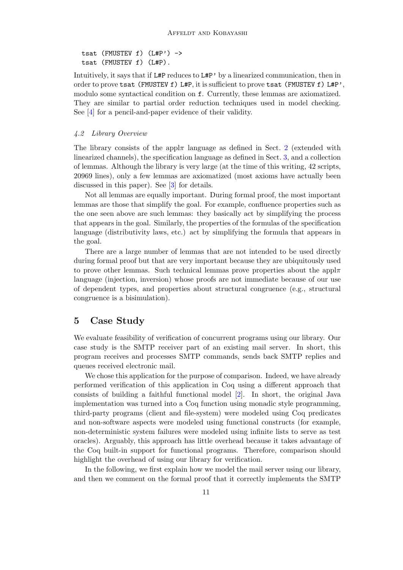```
tsat (FMUSTEV f) (L#P') ->
tsat (FMUSTEV f) (L#P).
```
Intuitively, it says that if L#P reduces to L#P' by a linearized communication, then in order to prove tsat (FMUSTEV f) L#P, it is sufficient to prove tsat (FMUSTEV f) L#P', modulo some syntactical condition on f. Currently, these lemmas are axiomatized. They are similar to partial order reduction techniques used in model checking. See [\[4\]](#page-14-16) for a pencil-and-paper evidence of their validity.

#### <span id="page-10-1"></span>4.2 Library Overview

The library consists of the appl $\pi$  language as defined in Sect. [2](#page-1-0) (extended with linearized channels), the specification language as defined in Sect. [3,](#page-5-0) and a collection of lemmas. Although the library is very large (at the time of this writing, 42 scripts, 20969 lines), only a few lemmas are axiomatized (most axioms have actually been discussed in this paper). See [\[3\]](#page-14-11) for details.

Not all lemmas are equally important. During formal proof, the most important lemmas are those that simplify the goal. For example, confluence properties such as the one seen above are such lemmas: they basically act by simplifying the process that appears in the goal. Similarly, the properties of the formulas of the specification language (distributivity laws, etc.) act by simplifying the formula that appears in the goal.

There are a large number of lemmas that are not intended to be used directly during formal proof but that are very important because they are ubiquitously used to prove other lemmas. Such technical lemmas prove properties about the appl $\pi$ language (injection, inversion) whose proofs are not immediate because of our use of dependent types, and properties about structural congruence (e.g., structural congruence is a bisimulation).

### <span id="page-10-0"></span>5 Case Study

We evaluate feasibility of verification of concurrent programs using our library. Our case study is the SMTP receiver part of an existing mail server. In short, this program receives and processes SMTP commands, sends back SMTP replies and queues received electronic mail.

We chose this application for the purpose of comparison. Indeed, we have already performed verification of this application in Coq using a different approach that consists of building a faithful functional model [\[2\]](#page-14-0). In short, the original Java implementation was turned into a Coq function using monadic style programming, third-party programs (client and file-system) were modeled using Coq predicates and non-software aspects were modeled using functional constructs (for example, non-deterministic system failures were modeled using infinite lists to serve as test oracles). Arguably, this approach has little overhead because it takes advantage of the Coq built-in support for functional programs. Therefore, comparison should highlight the overhead of using our library for verification.

In the following, we first explain how we model the mail server using our library, and then we comment on the formal proof that it correctly implements the SMTP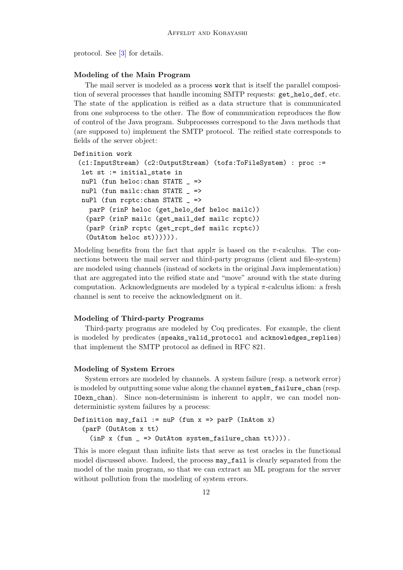protocol. See [\[3\]](#page-14-11) for details.

#### Modeling of the Main Program

The mail server is modeled as a process work that is itself the parallel composition of several processes that handle incoming SMTP requests: get\_helo\_def, etc. The state of the application is reified as a data structure that is communicated from one subprocess to the other. The flow of communication reproduces the flow of control of the Java program. Subprocesses correspond to the Java methods that (are supposed to) implement the SMTP protocol. The reified state corresponds to fields of the server object:

#### Definition work

```
(c1:InputStream) (c2:OutputStream) (tofs:ToFileSystem) : proc :=
let st := initial_state in
nuPl (fun heloc:chan STATE _ =>
nuPl (fun mailc:chan STATE _ =>
nuPl (fun rcptc:chan STATE _ =>
  parP (rinP heloc (get_helo_def heloc mailc))
  (parP (rinP mailc (get_mail_def mailc rcptc))
  (parP (rinP rcptc (get_rcpt_def mailc rcptc))
  (OutAtom heloc st)))))).
```
Modeling benefits from the fact that appl $\pi$  is based on the  $\pi$ -calculus. The connections between the mail server and third-party programs (client and file-system) are modeled using channels (instead of sockets in the original Java implementation) that are aggregated into the reified state and "move" around with the state during computation. Acknowledgments are modeled by a typical π-calculus idiom: a fresh channel is sent to receive the acknowledgment on it.

#### Modeling of Third-party Programs

Third-party programs are modeled by Coq predicates. For example, the client is modeled by predicates (speaks\_valid\_protocol and acknowledges\_replies) that implement the SMTP protocol as defined in RFC 821.

#### Modeling of System Errors

System errors are modeled by channels. A system failure (resp. a network error) is modeled by outputting some value along the channel system\_failure\_chan (resp. IOexn\_chan). Since non-determinism is inherent to appl $\pi$ , we can model nondeterministic system failures by a process:

```
Definition may_fail := nuP (fun x => parP (InAtom x)
  (parP (OutAtom x tt)
    (inP x (fun = > OutAtom system_failure_{chan} tt))).
```
This is more elegant than infinite lists that serve as test oracles in the functional model discussed above. Indeed, the process  $\text{may\_fail}$  is clearly separated from the model of the main program, so that we can extract an ML program for the server without pollution from the modeling of system errors.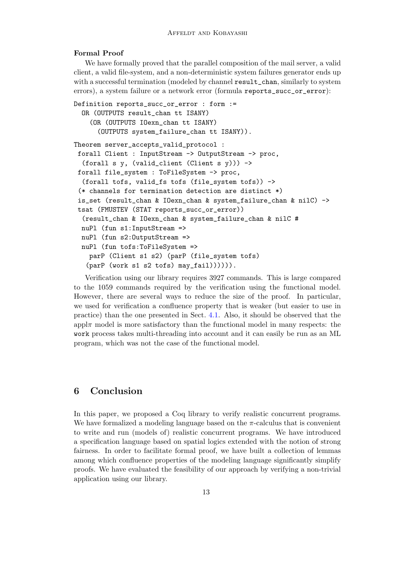#### Formal Proof

We have formally proved that the parallel composition of the mail server, a valid client, a valid file-system, and a non-deterministic system failures generator ends up with a successful termination (modeled by channel result\_chan, similarly to system errors), a system failure or a network error (formula reports\_succ\_or\_error):

```
Definition reports_succ_or_error : form :=
 OR (OUTPUTS result_chan tt ISANY)
    (OR (OUTPUTS IOexn_chan tt ISANY)
      (OUTPUTS system_failure_chan tt ISANY)).
Theorem server_accepts_valid_protocol :
forall Client : InputStream -> OutputStream -> proc,
  (forall s y, (valid_client (Client s y))) ->
 forall file_system : ToFileSystem -> proc,
  (forall tofs, valid_fs tofs (file_system tofs)) ->
 (* channels for termination detection are distinct *)
 is_set (result_chan & IOexn_chan & system_failure_chan & nilC) ->
 tsat (FMUSTEV (STAT reports_succ_or_error))
  (result_chan & IOexn_chan & system_failure_chan & nilC #
 nuPl (fun s1:InputStream =>
 nuPl (fun s2:OutputStream =>
 nuPl (fun tofs:ToFileSystem =>
   parP (Client s1 s2) (parP (file_system tofs)
   (parp (work s1 s2 tofs) may fail))))).
```
Verification using our library requires 3927 commands. This is large compared to the 1059 commands required by the verification using the functional model. However, there are several ways to reduce the size of the proof. In particular, we used for verification a confluence property that is weaker (but easier to use in practice) than the one presented in Sect. [4.1.](#page-8-1) Also, it should be observed that the  $a$ ppl $\pi$  model is more satisfactory than the functional model in many respects: the work process takes multi-threading into account and it can easily be run as an ML program, which was not the case of the functional model.

## 6 Conclusion

In this paper, we proposed a Coq library to verify realistic concurrent programs. We have formalized a modeling language based on the  $\pi$ -calculus that is convenient to write and run (models of) realistic concurrent programs. We have introduced a specification language based on spatial logics extended with the notion of strong fairness. In order to facilitate formal proof, we have built a collection of lemmas among which confluence properties of the modeling language significantly simplify proofs. We have evaluated the feasibility of our approach by verifying a non-trivial application using our library.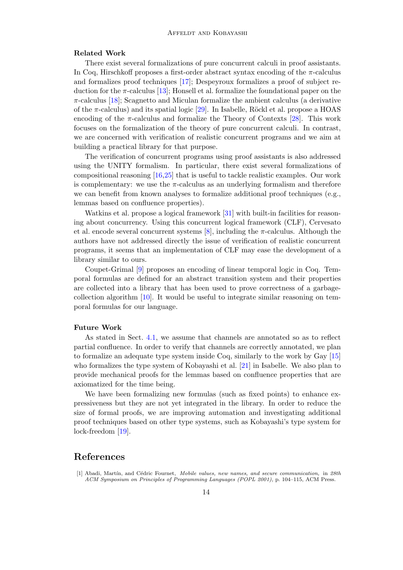#### Related Work

There exist several formalizations of pure concurrent calculi in proof assistants. In Coq, Hirschkoff proposes a first-order abstract syntax encoding of the  $\pi$ -calculus and formalizes proof techniques [\[17\]](#page-14-4); Despeyroux formalizes a proof of subject reduction for the  $\pi$ -calculus [\[13\]](#page-14-3); Honsell et al. formalize the foundational paper on the  $\pi$ -calculus [\[18\]](#page-14-5); Scagnetto and Miculan formalize the ambient calculus (a derivative of the  $\pi$ -calculus) and its spatial logic [\[29\]](#page-15-2). In Isabelle, Röckl et al. propose a HOAS encoding of the  $\pi$ -calculus and formalize the Theory of Contexts [\[28\]](#page-15-1). This work focuses on the formalization of the theory of pure concurrent calculi. In contrast, we are concerned with verification of realistic concurrent programs and we aim at building a practical library for that purpose.

The verification of concurrent programs using proof assistants is also addressed using the UNITY formalism. In particular, there exist several formalizations of compositional reasoning [\[16,](#page-14-17)[25\]](#page-15-6) that is useful to tackle realistic examples. Our work is complementary: we use the  $\pi$ -calculus as an underlying formalism and therefore we can benefit from known analyses to formalize additional proof techniques (e.g., lemmas based on confluence properties).

Watkins et al. propose a logical framework [\[31\]](#page-15-7) with built-in facilities for reasoning about concurrency. Using this concurrent logical framework (CLF), Cervesato et al. encode several concurrent systems  $[8]$ , including the  $\pi$ -calculus. Although the authors have not addressed directly the issue of verification of realistic concurrent programs, it seems that an implementation of CLF may ease the development of a library similar to ours.

Coupet-Grimal [\[9\]](#page-14-19) proposes an encoding of linear temporal logic in Coq. Temporal formulas are defined for an abstract transition system and their properties are collected into a library that has been used to prove correctness of a garbagecollection algorithm [\[10\]](#page-14-20). It would be useful to integrate similar reasoning on temporal formulas for our language.

#### Future Work

As stated in Sect. [4.1,](#page-8-1) we assume that channels are annotated so as to reflect partial confluence. In order to verify that channels are correctly annotated, we plan to formalize an adequate type system inside Coq, similarly to the work by Gay [\[15\]](#page-14-21) who formalizes the type system of Kobayashi et al. [\[21\]](#page-14-14) in Isabelle. We also plan to provide mechanical proofs for the lemmas based on confluence properties that are axiomatized for the time being.

We have been formalizing new formulas (such as fixed points) to enhance expressiveness but they are not yet integrated in the library. In order to reduce the size of formal proofs, we are improving automation and investigating additional proof techniques based on other type systems, such as Kobayashi's type system for lock-freedom [\[19\]](#page-14-22).

## References

<span id="page-13-0"></span><sup>[1]</sup> Abadi, Martín, and Cédric Fournet, Mobile values, new names, and secure communication, in 28th ACM Symposium on Principles of Programming Languages (POPL 2001), p. 104–115, ACM Press.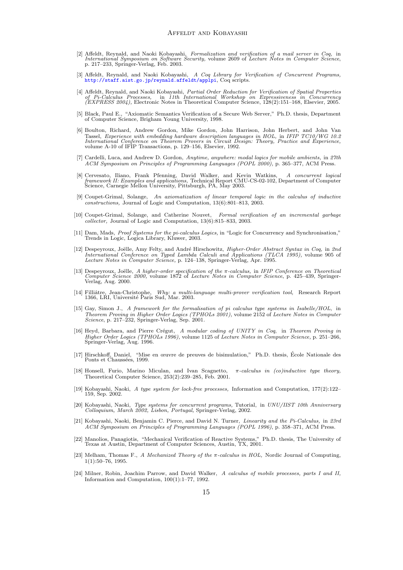- <span id="page-14-0"></span>[2] Affeldt, Reynald, and Naoki Kobayashi, Formalization and verification of a mail server in Coq, in International Symposium on Software Security, volume 2609 of Lecture Notes in Computer Science, p. 217–233, Springer-Verlag, Feb. 2003.
- <span id="page-14-11"></span>[3] Affeldt, Reynald, and Naoki Kobayashi, A Coq Library for Verification of Concurrent Programs, <http://staff.aist.go.jp/reynald.affeldt/applpi>, Coq scripts.
- <span id="page-14-16"></span>[4] Affeldt, Reynald, and Naoki Kobayashi, *Partial Order Reduction for Verification of Spatial Properties* of *Pi-Calculus Processes*, in 11th International Workshop on Expressiveness in Concurrency (EXPRESS 2004), Electr
- <span id="page-14-1"></span>[5] Black, Paul E., "Axiomatic Semantics Verification of a Secure Web Server," Ph.D. thesis, Department of Computer Science, Brigham Young University, 1998.
- <span id="page-14-9"></span>[6] Boulton, Richard, Andrew Gordon, Mike Gordon, John Harrison, John Herbert, and John Van Tassel, Experience with embedding hardware description languages in HOL, in IFIP TC10/WG 10.2<br>International Conference on Theorem Provers in Circuit Design: Theory, Practice and Experience,<br>volume A-10 of IFIP Transactions
- <span id="page-14-12"></span>[7] Cardelli, Luca, and Andrew D. Gordon, Anytime, anywhere: modal logics for mobile ambients, in 27th ACM Symposium on Principles of Programming Languages (POPL 2000), p. 365–377, ACM Press.
- <span id="page-14-18"></span>[8] Cervesato, Iliano, Frank Pfenning, David Walker, and Kevin Watkins, A concurrent logical framework II: Examples and applications, Technical Report CMU-CS-02-102, Department of Computer Science, Carnegie Mellon University, Pittsburgh, PA, May 2003.
- <span id="page-14-19"></span>[9] Coupet-Grimal, Solange, An axiomatization of linear temporal logic in the calculus of inductive constructions, Journal of Logic and Computation, 13(6):801–813, 2003.
- <span id="page-14-20"></span>[10] Coupet-Grimal, Solange, and Catherine Nouvet, Formal verification of an incremental garbage collector, Journal of Logic and Computation, 13(6):815–833, 2003.
- <span id="page-14-13"></span>[11] Dam, Mads, Proof Systems for the pi-calculus Logics, in "Logic for Concurrency and Synchronisation," Trends in Logic, Logica Library, Kluwer, 2003.
- <span id="page-14-8"></span>[12] Despeyroux, Joëlle, Amy Felty, and André Hirschowitz, *Higher-Order Abstract Syntax in Coq*, in 2nd International Conference on Typed Lambda Calculi and Applications (TLCA 1995), volume 905 of Lecture Notes in Computer Science, p. 124–138, Springer-Verlag, Apr. 1995.
- <span id="page-14-3"></span>[13] Despeyroux, Joëlle, A higher-order specification of the  $\pi$ -calculus, in IFIP Conference on Theoretical Computer Science 2000, volume 1872 of Lecture Notes in Computer Science, p. 425–439, Springer-Verlag, Aug. 2000.
- <span id="page-14-2"></span>[14] Filliâtre, Jean-Christophe, *Why: a multi-language multi-prover verification tool*, Research Report 1366, LRI, Université Paris Sud, Mar. 2003.
- <span id="page-14-21"></span>[15] Gay, Simon J., A framework for the formalisation of pi calculus type systems in Isabelle/HOL, in Theorem Proving in Higher Order Logics (TPHOLs 2001), volume 2152 of Lecture Notes in Computer Science, p. 217–232, Springer-Verlag, Sep. 2001.
- <span id="page-14-17"></span>[16] Heyd, Barbara, and Pierre Crégut, A modular coding of UNITY in Coq, in Theorem Proving in Higher Order Logics (TPHOLs 1996), volume 1125 of Lecture Notes in Computer Science, p. 251–266, Springer-Verlag, Aug. 1996.
- <span id="page-14-4"></span>[17] Hirschkoff, Daniel, "Mise en œuvre de preuves de bisimulation," Ph.D. thesis, Ecole Nationale des ´ Ponts et Chaussées, 1999.
- <span id="page-14-5"></span>[18] Honsell, Furio, Marino Miculan, and Ivan Scagnetto, π-calculus in (co)inductive type theory, Theoretical Computer Science, 253(2):239–285, Feb. 2001.
- <span id="page-14-22"></span>[19] Kobayashi, Naoki, A type system for lock-free processes, Information and Computation, 177(2):122– 159, Sep. 2002.
- <span id="page-14-15"></span>[20] Kobayashi, Naoki, Type systems for concurrent programs, Tutorial, in UNU/IIST 10th Anniversary Colloquium, March 2002, Lisbon, Portugal, Springer-Verlag, 2002.
- <span id="page-14-14"></span>[21] Kobayashi, Naoki, Benjamin C. Pierce, and David N. Turner, Linearity and the Pi-Calculus, in 23rd ACM Symposium on Principles of Programming Languages (POPL 1996), p. 358–371, ACM Press.
- <span id="page-14-6"></span>[22] Manolios, Panagiotis, "Mechanical Verification of Reactive Systems," Ph.D. thesis, The University of Texas at Austin, Department of Computer Sciences, Austin, TX, 2001.
- <span id="page-14-10"></span>[23] Melham, Thomas F., A Mechanized Theory of the π-calculus in HOL, Nordic Journal of Computing, 1(1):50–76, 1995.
- <span id="page-14-7"></span>[24] Milner, Robin, Joachim Parrow, and David Walker, A calculus of mobile processes, parts I and II, Information and Computation, 100(1):1–77, 1992.